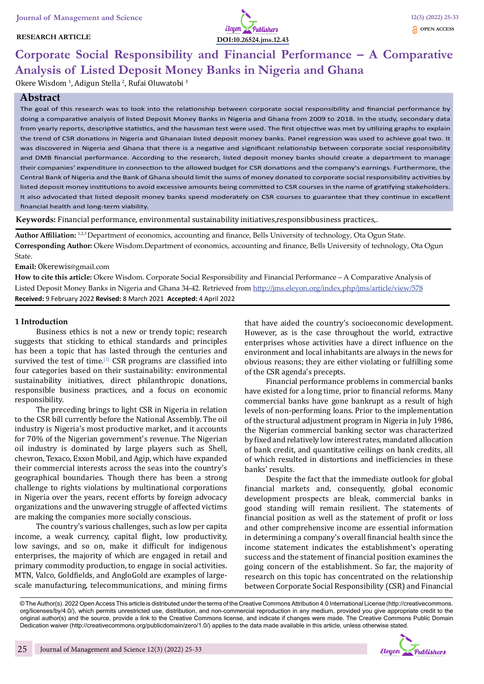# **RESEARCH ARTICLE**



# **Corporate Social Responsibility and Financial Performance – A Comparative Analysis of Listed Deposit Money Banks in Nigeria and Ghana**

Okere Wisdom <sup>1</sup>, Adigun Stella <sup>2</sup>, Rufai Oluwatobi <sup>3</sup>

# **Abstract**

The goal of this research was to look into the relationship between corporate social responsibility and financial performance by doing a comparative analysis of listed Deposit Money Banks in Nigeria and Ghana from 2009 to 2018. In the study, secondary data from yearly reports, descriptive statistics, and the hausman test were used. The first objective was met by utilizing graphs to explain the trend of CSR donations in Nigeria and Ghanaian listed deposit money banks. Panel regression was used to achieve goal two. It was discovered in Nigeria and Ghana that there is a negative and significant relationship between corporate social responsibility and DMB financial performance. According to the research, listed deposit money banks should create a department to manage their companies' expenditure in connection to the allowed budget for CSR donations and the company's earnings. Furthermore, the Central Bank of Nigeria and the Bank of Ghana should limit the sums of money donated to corporate social responsibility activities by listed deposit money institutions to avoid excessive amounts being committed to CSR courses in the name of gratifying stakeholders. It also advocated that listed deposit money banks spend moderately on CSR courses to guarantee that they continue in excellent financial health and long-term viability.

**Keywords:** Financial performance, environmental sustainability initiatives,responsibbusiness practices,.

**Author Affiliation:** 1,2,3 Department of economics, accounting and finance, Bells University of technology, Ota Ogun State. **Corresponding Author:** Okere Wisdom.Department of economics, accounting and finance, Bells University of technology, Ota Ogun State.

#### **Email:** Okerewis@gmail.com

**How to cite this article:** Okere Wisdom. Corporate Social Responsibility and Financial Performance – A Comparative Analysis of Listed Deposit Money Banks in Nigeria and Ghana 34-42. Retrieved from http://jms.eleyon.org/index.php/jms/article/view/578 **Received:** 9 February 2022 **Revised:** 8 March 2021 **Accepted:** 4 April 2022

## **1 Introduction**

Business ethics is not a new or trendy topic; research suggests that sticking to ethical standards and principles has been a topic that has lasted through the centuries and survived the test of time.<sup>[1]</sup> CSR programs are classified into four categories based on their sustainability: environmental sustainability initiatives, direct philanthropic donations, responsible business practices, and a focus on economic responsibility.

The preceding brings to light CSR in Nigeria in relation to the CSR bill currently before the National Assembly. The oil industry is Nigeria's most productive market, and it accounts for 70% of the Nigerian government's revenue. The Nigerian oil industry is dominated by large players such as Shell, chevron, Texaco, Exxon Mobil, and Agip, which have expanded their commercial interests across the seas into the country's geographical boundaries. Though there has been a strong challenge to rights violations by multinational corporations in Nigeria over the years, recent efforts by foreign advocacy organizations and the unwavering struggle of affected victims are making the companies more socially conscious.

The country's various challenges, such as low per capita income, a weak currency, capital flight, low productivity, low savings, and so on, make it difficult for indigenous enterprises, the majority of which are engaged in retail and primary commodity production, to engage in social activities. MTN, Valco, Goldfields, and AngloGold are examples of largescale manufacturing, telecommunications, and mining firms

that have aided the country's socioeconomic development. However, as is the case throughout the world, extractive enterprises whose activities have a direct influence on the environment and local inhabitants are always in the news for obvious reasons; they are either violating or fulfilling some of the CSR agenda's precepts.

Financial performance problems in commercial banks have existed for a long time, prior to financial reforms. Many commercial banks have gone bankrupt as a result of high levels of non-performing loans. Prior to the implementation of the structural adjustment program in Nigeria in July 1986, the Nigerian commercial banking sector was characterized by fixed and relatively low interest rates, mandated allocation of bank credit, and quantitative ceilings on bank credits, all of which resulted in distortions and inefficiencies in these banks' results.

Despite the fact that the immediate outlook for global financial markets and, consequently, global economic development prospects are bleak, commercial banks in good standing will remain resilient. The statements of financial position as well as the statement of profit or loss and other comprehensive income are essential information in determining a company's overall financial health since the income statement indicates the establishment's operating success and the statement of financial position examines the going concern of the establishment. So far, the majority of research on this topic has concentrated on the relationship between Corporate Social Responsibility (CSR) and Financial

© The Author(s). 2022 Open Access This article is distributed under the terms of the Creative Commons Attribution 4.0 International License (http://creativecommons. org/licenses/by/4.0/), which permits unrestricted use, distribution, and non-commercial reproduction in any medium, provided you give appropriate credit to the original author(s) and the source, provide a link to the Creative Commons license, and indicate if changes were made. The Creative Commons Public Domain Dedication waiver (http://creativecommons.org/publicdomain/zero/1.0/) applies to the data made available in this article, unless otherwise stated.

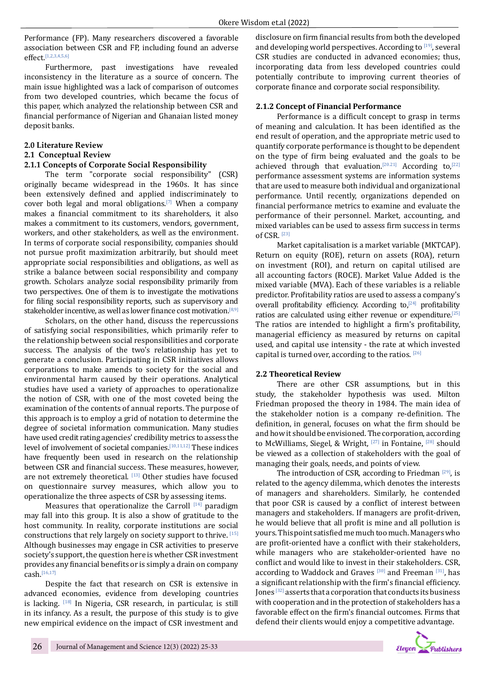Performance (FP). Many researchers discovered a favorable association between CSR and FP, including found an adverse effect.[1,2,3,4,5,6]

Furthermore, past investigations have revealed inconsistency in the literature as a source of concern. The main issue highlighted was a lack of comparison of outcomes from two developed countries, which became the focus of this paper, which analyzed the relationship between CSR and financial performance of Nigerian and Ghanaian listed money deposit banks.

# **2.0 Literature Review**

# **2.1 Conceptual Review**

# **2.1.1 Concepts of Corporate Social Responsibility**

The term "corporate social responsibility" (CSR) originally became widespread in the 1960s. It has since been extensively defined and applied indiscriminately to cover both legal and moral obligations.[7] When a company makes a financial commitment to its shareholders, it also makes a commitment to its customers, vendors, government, workers, and other stakeholders, as well as the environment. In terms of corporate social responsibility, companies should not pursue profit maximization arbitrarily, but should meet appropriate social responsibilities and obligations, as well as strike a balance between social responsibility and company growth. Scholars analyze social responsibility primarily from two perspectives. One of them is to investigate the motivations for filing social responsibility reports, such as supervisory and stakeholder incentive, as well as lower finance cost motivation.<sup>[8,9]</sup>

Scholars, on the other hand, discuss the repercussions of satisfying social responsibilities, which primarily refer to the relationship between social responsibilities and corporate success. The analysis of the two's relationship has yet to generate a conclusion. Participating in CSR initiatives allows corporations to make amends to society for the social and environmental harm caused by their operations. Analytical studies have used a variety of approaches to operationalize the notion of CSR, with one of the most coveted being the examination of the contents of annual reports. The purpose of this approach is to employ a grid of notation to determine the degree of societal information communication. Many studies have used credit rating agencies' credibility metrics to assess the level of involvement of societal companies.<sup>[10,11,12]</sup> These indices have frequently been used in research on the relationship between CSR and financial success. These measures, however, are not extremely theoretical. [13] Other studies have focused on questionnaire survey measures, which allow you to operationalize the three aspects of CSR by assessing items.

Measures that operationalize the Carroll  $[14]$  paradigm may fall into this group. It is also a show of gratitude to the host community. In reality, corporate institutions are social constructions that rely largely on society support to thrive. [15] Although businesses may engage in CSR activities to preserve society's support, the question here is whether CSR investment provides any financial benefits or is simply a drain on company cash.[16,17]

Despite the fact that research on CSR is extensive in advanced economies, evidence from developing countries is lacking. [18] In Nigeria, CSR research, in particular, is still in its infancy. As a result, the purpose of this study is to give new empirical evidence on the impact of CSR investment and disclosure on firm financial results from both the developed and developing world perspectives. According to [19], several CSR studies are conducted in advanced economies; thus, incorporating data from less developed countries could potentially contribute to improving current theories of corporate finance and corporate social responsibility.

# **2.1.2 Concept of Financial Performance**

Performance is a difficult concept to grasp in terms of meaning and calculation. It has been identified as the end result of operation, and the appropriate metric used to quantify corporate performance is thought to be dependent on the type of firm being evaluated and the goals to be achieved through that evaluation.<sup>[20.21]</sup> According to,<sup>[22]</sup> performance assessment systems are information systems that are used to measure both individual and organizational performance. Until recently, organizations depended on financial performance metrics to examine and evaluate the performance of their personnel. Market, accounting, and mixed variables can be used to assess firm success in terms of CSR. [23]

Market capitalisation is a market variable (MKTCAP). Return on equity (ROE), return on assets (ROA), return on investment (ROI), and return on capital utilised are all accounting factors (ROCE). Market Value Added is the mixed variable (MVA). Each of these variables is a reliable predictor. Profitability ratios are used to assess a company's overall profitability efficiency. According to, $[24]$  profitability ratios are calculated using either revenue or expenditure.[25] The ratios are intended to highlight a firm's profitability, managerial efficiency as measured by returns on capital used, and capital use intensity - the rate at which invested capital is turned over, according to the ratios. [26]

## **2.2 Theoretical Review**

There are other CSR assumptions, but in this study, the stakeholder hypothesis was used. Milton Friedman proposed the theory in 1984. The main idea of the stakeholder notion is a company re-definition. The definition, in general, focuses on what the firm should be and how it should be envisioned. The corporation, according to McWilliams, Siegel, & Wright, <a>[27]</a> in Fontaine, <a>[28]</a> should be viewed as a collection of stakeholders with the goal of managing their goals, needs, and points of view.

The introduction of CSR, according to Friedman  $[29]$ , is related to the agency dilemma, which denotes the interests of managers and shareholders. Similarly, he contended that poor CSR is caused by a conflict of interest between managers and stakeholders. If managers are profit-driven, he would believe that all profit is mine and all pollution is yours. This point satisfied me much too much. Managers who are profit-oriented have a conflict with their stakeholders, while managers who are stakeholder-oriented have no conflict and would like to invest in their stakeholders. CSR, according to Waddock and Graves  $[30]$  and Freeman  $[31]$ , has a significant relationship with the firm's financial efficiency. Jones [32] asserts that a corporation that conducts its business with cooperation and in the protection of stakeholders has a favorable effect on the firm's financial outcomes. Firms that defend their clients would enjoy a competitive advantage.

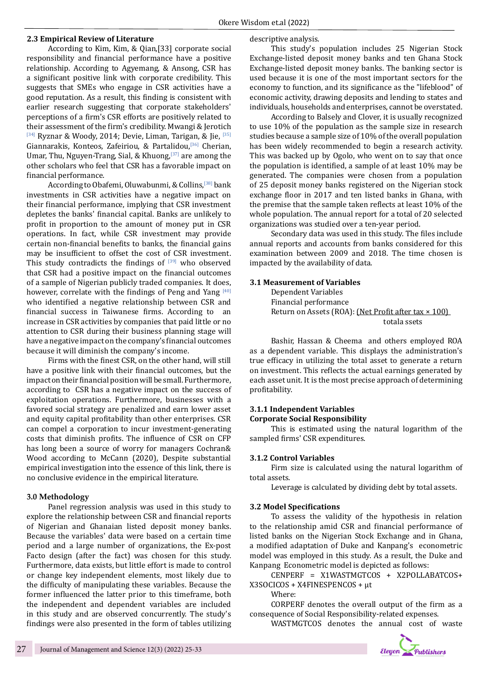#### **2.3 Empirical Review of Literature**

According to Kim, Kim, & Qian,[33] corporate social responsibility and financial performance have a positive relationship. According to Agyemang, & Ansong, CSR has a significant positive link with corporate credibility. This suggests that SMEs who engage in CSR activities have a good reputation. As a result, this finding is consistent with earlier research suggesting that corporate stakeholders' perceptions of a firm's CSR efforts are positively related to their assessment of the firm's credibility. Mwangi & Jerotich [34] Ryznar & Woody, 2014; Devie, Liman, Tarigan, & Jie, [35] Giannarakis, Konteos, Zafeiriou, & Partalidou,[36] Cherian, Umar, Thu, Nguyen-Trang, Sial, & Khuong,  $[37]$  are among the other scholars who feel that CSR has a favorable impact on financial performance.

According to Obafemi, Oluwabunmi, & Collins,[38] bank investments in CSR activities have a negative impact on their financial performance, implying that CSR investment depletes the banks' financial capital. Banks are unlikely to profit in proportion to the amount of money put in CSR operations. In fact, while CSR investment may provide certain non-financial benefits to banks, the financial gains may be insufficient to offset the cost of CSR investment. This study contradicts the findings of  $[39]$  who observed that CSR had a positive impact on the financial outcomes of a sample of Nigerian publicly traded companies. It does, however, correlate with the findings of Peng and Yang [40] who identified a negative relationship between CSR and financial success in Taiwanese firms. According to an increase in CSR activities by companies that paid little or no attention to CSR during their business planning stage will have a negative impact on the company's financial outcomes because it will diminish the company's income.

Firms with the finest CSR, on the other hand, will still have a positive link with their financial outcomes, but the impact on their financial position will be small. Furthermore, according to CSR has a negative impact on the success of exploitation operations. Furthermore, businesses with a favored social strategy are penalized and earn lower asset and equity capital profitability than other enterprises. CSR can compel a corporation to incur investment-generating costs that diminish profits. The influence of CSR on CFP has long been a source of worry for managers Cochran& Wood according to McCann (2020), Despite substantial empirical investigation into the essence of this link, there is no conclusive evidence in the empirical literature.

#### **3.0 Methodology**

Panel regression analysis was used in this study to explore the relationship between CSR and financial reports of Nigerian and Ghanaian listed deposit money banks. Because the variables' data were based on a certain time period and a large number of organizations, the Ex-post Facto design (after the fact) was chosen for this study. Furthermore, data exists, but little effort is made to control or change key independent elements, most likely due to the difficulty of manipulating these variables. Because the former influenced the latter prior to this timeframe, both the independent and dependent variables are included in this study and are observed concurrently. The study's findings were also presented in the form of tables utilizing descriptive analysis.

This study's population includes 25 Nigerian Stock Exchange-listed deposit money banks and ten Ghana Stock Exchange-listed deposit money banks. The banking sector is used because it is one of the most important sectors for the economy to function, and its significance as the "lifeblood" of economic activity, drawing deposits and lending to states and individuals, households and enterprises, cannot be overstated.

According to Balsely and Clover, it is usually recognized to use 10% of the population as the sample size in research studies because a sample size of 10% of the overall population has been widely recommended to begin a research activity. This was backed up by Ogolo, who went on to say that once the population is identified, a sample of at least 10% may be generated. The companies were chosen from a population of 25 deposit money banks registered on the Nigerian stock exchange floor in 2017 and ten listed banks in Ghana, with the premise that the sample taken reflects at least 10% of the whole population. The annual report for a total of 20 selected organizations was studied over a ten-year period.

Secondary data was used in this study. The files include annual reports and accounts from banks considered for this examination between 2009 and 2018. The time chosen is impacted by the availability of data.

#### **3.1 Measurement of Variables**

Dependent Variables Financial performance Return on Assets (ROA): (Net Profit after tax × 100) totala ssets

Bashir, Hassan & Cheema and others employed ROA as a dependent variable. This displays the administration's true efficacy in utilizing the total asset to generate a return on investment. This reflects the actual earnings generated by each asset unit. It is the most precise approach of determining profitability.

#### **3.1.1 Independent Variables Corporate Social Responsibility**

This is estimated using the natural logarithm of the sampled firms' CSR expenditures.

#### **3.1.2 Control Variables**

Firm size is calculated using the natural logarithm of total assets.

Leverage is calculated by dividing debt by total assets.

#### **3.2 Model Specifications**

To assess the validity of the hypothesis in relation to the relationship amid CSR and financial performance of listed banks on the Nigerian Stock Exchange and in Ghana, a modified adaptation of Duke and Kanpang's econometric model was employed in this study. As a result, the Duke and Kanpang Econometric model is depicted as follows:

CENPERF = X1WASTMGTCOS + X2POLLABATCOS+ X3SOCICOS + X4FINESPENCOS + μt

Where:

CORPERF denotes the overall output of the firm as a consequence of Social Responsibility-related expenses. WASTMGTCOS denotes the annual cost of waste

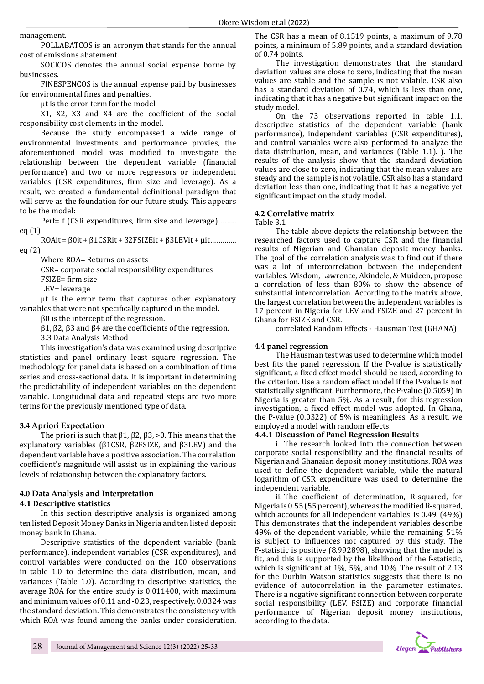management.

POLLABATCOS is an acronym that stands for the annual cost of emissions abatement.

SOCICOS denotes the annual social expense borne by businesses.

FINESPENCOS is the annual expense paid by businesses for environmental fines and penalties.

μt is the error term for the model

X1, X2, X3 and X4 are the coefficient of the social responsibility cost elements in the model.

Because the study encompassed a wide range of environmental investments and performance proxies, the aforementioned model was modified to investigate the relationship between the dependent variable (financial performance) and two or more regressors or independent variables (CSR expenditures, firm size and leverage). As a result, we created a fundamental definitional paradigm that will serve as the foundation for our future study. This appears to be the model:

Perf= f (CSR expenditures, firm size and leverage) …….. eq (1)

ROAit = β0it + β1CSRit + β2FSIZEit + β3LEVit + μit…………. eq (2)

Where ROA= Returns on assets

CSR= corporate social responsibility expenditures

FSIZE= firm size

LEV= leverage

μt is the error term that captures other explanatory variables that were not specifically captured in the model.

β0 is the intercept of the regression.

β1, β2, β3 and β4 are the coefficients of the regression.

3.3 Data Analysis Method

This investigation's data was examined using descriptive statistics and panel ordinary least square regression. The methodology for panel data is based on a combination of time series and cross-sectional data. It is important in determining the predictability of independent variables on the dependent variable. Longitudinal data and repeated steps are two more terms for the previously mentioned type of data.

## **3.4 Apriori Expectation**

The priori is such that β1, β2, β3, >0. This means that the explanatory variables (β1CSR, β2FSIZE, and β3LEV) and the dependent variable have a positive association. The correlation coefficient's magnitude will assist us in explaining the various levels of relationship between the explanatory factors.

## **4.0 Data Analysis and Interpretation**

#### **4.1 Descriptive statistics**

In this section descriptive analysis is organized among ten listed Deposit Money Banks in Nigeria and ten listed deposit money bank in Ghana.

Descriptive statistics of the dependent variable (bank performance), independent variables (CSR expenditures), and control variables were conducted on the 100 observations in table 1.0 to determine the data distribution, mean, and variances (Table 1.0). According to descriptive statistics, the average ROA for the entire study is 0.011400, with maximum and minimum values of 0.11 and -0.23, respectively. 0.0324 was the standard deviation. This demonstrates the consistency with which ROA was found among the banks under consideration.

The CSR has a mean of 8.1519 points, a maximum of 9.78 points, a minimum of 5.89 points, and a standard deviation of 0.74 points.

The investigation demonstrates that the standard deviation values are close to zero, indicating that the mean values are stable and the sample is not volatile. CSR also has a standard deviation of 0.74, which is less than one, indicating that it has a negative but significant impact on the study model.

On the 73 observations reported in table 1.1, descriptive statistics of the dependent variable (bank performance), independent variables (CSR expenditures), and control variables were also performed to analyze the data distribution, mean, and variances (Table 1.1). ). The results of the analysis show that the standard deviation values are close to zero, indicating that the mean values are steady and the sample is not volatile. CSR also has a standard deviation less than one, indicating that it has a negative yet significant impact on the study model.

#### **4.2 Correlative matrix**

Table 3.1

The table above depicts the relationship between the researched factors used to capture CSR and the financial results of Nigerian and Ghanaian deposit money banks. The goal of the correlation analysis was to find out if there was a lot of intercorrelation between the independent variables. Wisdom, Lawrence, Akindele, & Muideen, propose a correlation of less than 80% to show the absence of substantial intercorrelation. According to the matrix above, the largest correlation between the independent variables is 17 percent in Nigeria for LEV and FSIZE and 27 percent in Ghana for FSIZE and CSR.

correlated Random Effects - Hausman Test (GHANA)

## **4.4 panel regression**

The Hausman test was used to determine which model best fits the panel regression. If the P-value is statistically significant, a fixed effect model should be used, according to the criterion. Use a random effect model if the P-value is not statistically significant. Furthermore, the P-value (0.5059) in Nigeria is greater than 5%. As a result, for this regression investigation, a fixed effect model was adopted. In Ghana, the P-value (0.0322) of 5% is meaningless. As a result, we employed a model with random effects.

#### **4.4.1 Discussion of Panel Regression Results**

i. The research looked into the connection between corporate social responsibility and the financial results of Nigerian and Ghanaian deposit money institutions. ROA was used to define the dependent variable, while the natural logarithm of CSR expenditure was used to determine the independent variable.

ii. The coefficient of determination, R-squared, for Nigeria is 0.55 (55 percent), whereas the modified R-squared, which accounts for all independent variables, is 0.49. (49%) This demonstrates that the independent variables describe 49% of the dependent variable, while the remaining 51% is subject to influences not captured by this study. The F-statistic is positive (8.992898), showing that the model is fit, and this is supported by the likelihood of the f-statistic, which is significant at 1%, 5%, and 10%. The result of 2.13 for the Durbin Watson statistics suggests that there is no evidence of autocorrelation in the parameter estimates. There is a negative significant connection between corporate social responsibility (LEV, FSIZE) and corporate financial performance of Nigerian deposit money institutions, according to the data.

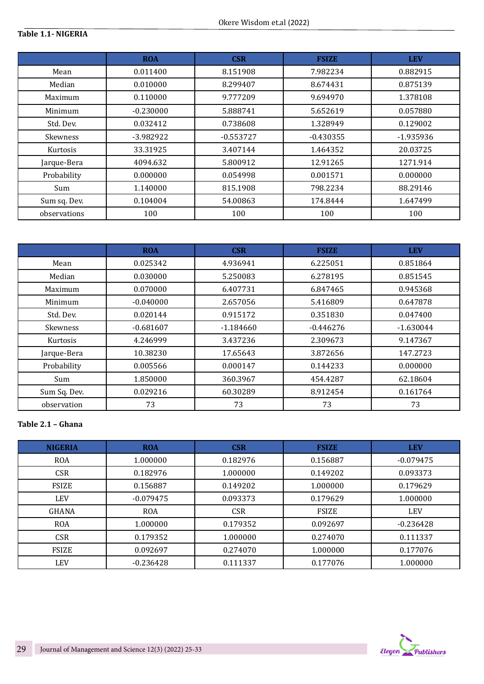# **Table 1.1- NIGERIA**

|                 | <b>ROA</b><br><b>CSR</b><br><b>FSIZE</b> |             |             | <b>LEV</b> |  |
|-----------------|------------------------------------------|-------------|-------------|------------|--|
| Mean            | 0.011400                                 | 8.151908    | 7.982234    | 0.882915   |  |
| Median          | 0.010000                                 | 8.299407    | 8.674431    | 0.875139   |  |
| Maximum         | 0.110000                                 | 9.777209    | 9.694970    | 1.378108   |  |
| Minimum         | $-0.230000$                              | 5.888741    | 5.652619    | 0.057880   |  |
| Std. Dev.       | 0.032412                                 | 0.738608    | 1.328949    | 0.129002   |  |
| <b>Skewness</b> | $-3.982922$                              | $-0.553727$ | $-0.430355$ | -1.935936  |  |
| Kurtosis        | 33.31925                                 | 3.407144    | 1.464352    | 20.03725   |  |
| Jarque-Bera     | 4094.632                                 | 5.800912    | 12.91265    | 1271.914   |  |
| Probability     | 0.000000                                 | 0.054998    | 0.001571    | 0.000000   |  |
| Sum             | 1.140000                                 | 815.1908    | 798.2234    | 88.29146   |  |
| Sum sq. Dev.    | 0.104004                                 | 54.00863    | 174.8444    | 1.647499   |  |
| observations    | 100                                      | 100         | 100         | 100        |  |

|              | <b>ROA</b>  | <b>CSR</b><br><b>FSIZE</b> |             | <b>LEV</b>  |  |
|--------------|-------------|----------------------------|-------------|-------------|--|
| Mean         | 0.025342    | 4.936941                   | 6.225051    | 0.851864    |  |
| Median       | 0.030000    | 5.250083                   | 6.278195    | 0.851545    |  |
| Maximum      | 0.070000    | 6.407731                   | 6.847465    | 0.945368    |  |
| Minimum      | $-0.040000$ | 2.657056                   | 5.416809    | 0.647878    |  |
| Std. Dev.    | 0.020144    | 0.915172                   | 0.351830    | 0.047400    |  |
| Skewness     | $-0.681607$ | $-1.184660$                | $-0.446276$ | $-1.630044$ |  |
| Kurtosis     | 4.246999    | 3.437236                   | 2.309673    | 9.147367    |  |
| Jarque-Bera  | 10.38230    | 17.65643                   | 3.872656    | 147.2723    |  |
| Probability  | 0.005566    | 0.000147                   | 0.144233    | 0.000000    |  |
| Sum          | 1.850000    | 360.3967                   | 454.4287    | 62.18604    |  |
| Sum Sq. Dev. | 0.029216    | 60.30289                   | 8.912454    | 0.161764    |  |
| observation  | 73          | 73                         | 73          | 73          |  |

# **Table 2.1 – Ghana**

| <b>NIGERIA</b> | <b>ROA</b>  | <b>CSR</b> | <b>FSIZE</b> | <b>LEV</b>  |  |
|----------------|-------------|------------|--------------|-------------|--|
| <b>ROA</b>     | 1.000000    | 0.182976   | 0.156887     | $-0.079475$ |  |
| <b>CSR</b>     | 0.182976    | 1.000000   | 0.149202     | 0.093373    |  |
| <b>FSIZE</b>   | 0.156887    | 0.149202   | 1.000000     | 0.179629    |  |
| <b>LEV</b>     | $-0.079475$ | 0.093373   | 0.179629     | 1.000000    |  |
| <b>GHANA</b>   | <b>ROA</b>  | <b>CSR</b> | <b>FSIZE</b> | <b>LEV</b>  |  |
| <b>ROA</b>     | 1.000000    | 0.179352   | 0.092697     | $-0.236428$ |  |
| <b>CSR</b>     | 0.179352    | 1.000000   | 0.274070     | 0.111337    |  |
| <b>FSIZE</b>   | 0.092697    | 0.274070   | 1.000000     | 0.177076    |  |
| <b>LEV</b>     | $-0.236428$ | 0.111337   | 0.177076     | 1.000000    |  |

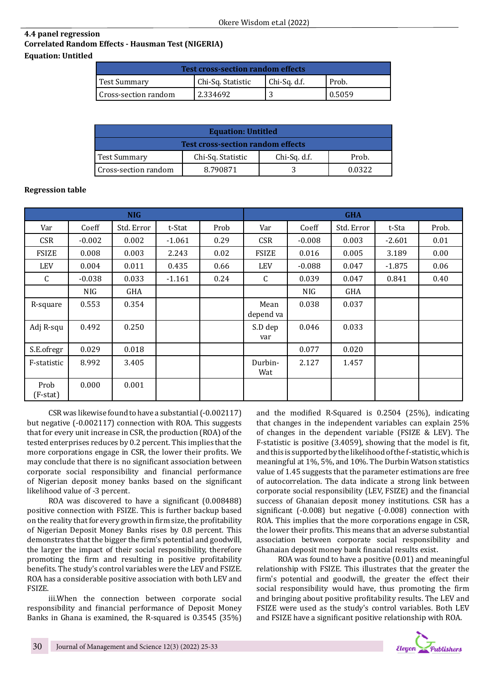# **4.4 panel regression Correlated Random Effects - Hausman Test (NIGERIA) Equation: Untitled**

| <b>Test cross-section random effects</b> |                   |              |        |  |  |  |
|------------------------------------------|-------------------|--------------|--------|--|--|--|
| <b>Test Summary</b>                      | Chi-Sq. Statistic | Chi-Sq. d.f. | Prob.  |  |  |  |
| I Cross-section random                   | 2.334692          |              | 0.5059 |  |  |  |

| <b>Equation: Untitled</b>                |                   |              |        |  |  |  |
|------------------------------------------|-------------------|--------------|--------|--|--|--|
| <b>Test cross-section random effects</b> |                   |              |        |  |  |  |
| Test Summary                             | Chi-Sq. Statistic | Chi-Sq. d.f. | Prob.  |  |  |  |
| l Cross-section random                   | 8.790871          |              | በ በ322 |  |  |  |

# **Regression table**

| <b>NIG</b>       |          |            |          | <b>GHA</b> |                   |          |            |          |       |
|------------------|----------|------------|----------|------------|-------------------|----------|------------|----------|-------|
| Var              | Coeff    | Std. Error | t-Stat   | Prob       | Var               | Coeff    | Std. Error | t-Sta    | Prob. |
| <b>CSR</b>       | $-0.002$ | 0.002      | $-1.061$ | 0.29       | <b>CSR</b>        | $-0.008$ | 0.003      | $-2.601$ | 0.01  |
| <b>FSIZE</b>     | 0.008    | 0.003      | 2.243    | 0.02       | <b>FSIZE</b>      | 0.016    | 0.005      | 3.189    | 0.00  |
| <b>LEV</b>       | 0.004    | 0.011      | 0.435    | 0.66       | <b>LEV</b>        | $-0.088$ | 0.047      | $-1.875$ | 0.06  |
| C                | $-0.038$ | 0.033      | $-1.161$ | 0.24       | C                 | 0.039    | 0.047      | 0.841    | 0.40  |
|                  | NIG      | GHA        |          |            |                   | NIG      | GHA        |          |       |
| R-square         | 0.553    | 0.354      |          |            | Mean<br>depend va | 0.038    | 0.037      |          |       |
| Adj R-squ        | 0.492    | 0.250      |          |            | S.D dep<br>var    | 0.046    | 0.033      |          |       |
| S.E.ofregr       | 0.029    | 0.018      |          |            |                   | 0.077    | 0.020      |          |       |
| F-statistic      | 8.992    | 3.405      |          |            | Durbin-<br>Wat    | 2.127    | 1.457      |          |       |
| Prob<br>(F-stat) | 0.000    | 0.001      |          |            |                   |          |            |          |       |

CSR was likewise found to have a substantial (-0.002117) but negative (-0.002117) connection with ROA. This suggests that for every unit increase in CSR, the production (ROA) of the tested enterprises reduces by 0.2 percent. This implies that the more corporations engage in CSR, the lower their profits. We may conclude that there is no significant association between corporate social responsibility and financial performance of Nigerian deposit money banks based on the significant likelihood value of -3 percent.

ROA was discovered to have a significant (0.008488) positive connection with FSIZE. This is further backup based on the reality that for every growth in firm size, the profitability of Nigerian Deposit Money Banks rises by 0.8 percent. This demonstrates that the bigger the firm's potential and goodwill, the larger the impact of their social responsibility, therefore promoting the firm and resulting in positive profitability benefits. The study's control variables were the LEV and FSIZE. ROA has a considerable positive association with both LEV and FSIZE.

iii.When the connection between corporate social responsibility and financial performance of Deposit Money Banks in Ghana is examined, the R-squared is 0.3545 (35%)

and the modified R-Squared is 0.2504 (25%), indicating that changes in the independent variables can explain 25% of changes in the dependent variable (FSIZE & LEV). The F-statistic is positive (3.4059), showing that the model is fit, and this is supported by the likelihood of the f-statistic, which is meaningful at 1%, 5%, and 10%. The Durbin Watson statistics value of 1.45 suggests that the parameter estimations are free of autocorrelation. The data indicate a strong link between corporate social responsibility (LEV, FSIZE) and the financial success of Ghanaian deposit money institutions. CSR has a significant (-0.008) but negative (-0.008) connection with ROA. This implies that the more corporations engage in CSR, the lower their profits. This means that an adverse substantial association between corporate social responsibility and Ghanaian deposit money bank financial results exist.

ROA was found to have a positive (0.01) and meaningful relationship with FSIZE. This illustrates that the greater the firm's potential and goodwill, the greater the effect their social responsibility would have, thus promoting the firm and bringing about positive profitability results. The LEV and FSIZE were used as the study's control variables. Both LEV and FSIZE have a significant positive relationship with ROA.

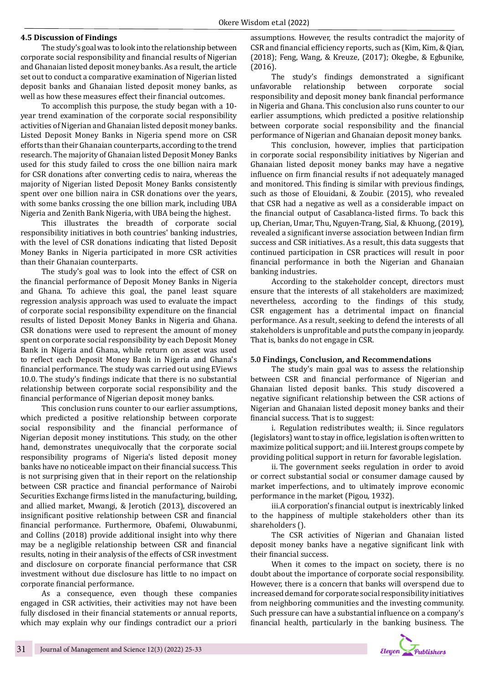#### **4.5 Discussion of Findings**

The study's goal was to look into the relationship between corporate social responsibility and financial results of Nigerian and Ghanaian listed deposit money banks. As a result, the article set out to conduct a comparative examination of Nigerian listed deposit banks and Ghanaian listed deposit money banks, as well as how these measures effect their financial outcomes.

To accomplish this purpose, the study began with a 10 year trend examination of the corporate social responsibility activities of Nigerian and Ghanaian listed deposit money banks. Listed Deposit Money Banks in Nigeria spend more on CSR efforts than their Ghanaian counterparts, according to the trend research. The majority of Ghanaian listed Deposit Money Banks used for this study failed to cross the one billion naira mark for CSR donations after converting cedis to naira, whereas the majority of Nigerian listed Deposit Money Banks consistently spent over one billion naira in CSR donations over the years, with some banks crossing the one billion mark, including UBA Nigeria and Zenith Bank Nigeria, with UBA being the highest.

This illustrates the breadth of corporate social responsibility initiatives in both countries' banking industries, with the level of CSR donations indicating that listed Deposit Money Banks in Nigeria participated in more CSR activities than their Ghanaian counterparts.

The study's goal was to look into the effect of CSR on the financial performance of Deposit Money Banks in Nigeria and Ghana. To achieve this goal, the panel least square regression analysis approach was used to evaluate the impact of corporate social responsibility expenditure on the financial results of listed Deposit Money Banks in Nigeria and Ghana. CSR donations were used to represent the amount of money spent on corporate social responsibility by each Deposit Money Bank in Nigeria and Ghana, while return on asset was used to reflect each Deposit Money Bank in Nigeria and Ghana's financial performance. The study was carried out using EViews 10.0. The study's findings indicate that there is no substantial relationship between corporate social responsibility and the financial performance of Nigerian deposit money banks.

This conclusion runs counter to our earlier assumptions, which predicted a positive relationship between corporate social responsibility and the financial performance of Nigerian deposit money institutions. This study, on the other hand, demonstrates unequivocally that the corporate social responsibility programs of Nigeria's listed deposit money banks have no noticeable impact on their financial success. This is not surprising given that in their report on the relationship between CSR practice and financial performance of Nairobi Securities Exchange firms listed in the manufacturing, building, and allied market, Mwangi, & Jerotich (2013), discovered an insignificant positive relationship between CSR and financial financial performance. Furthermore, Obafemi, Oluwabunmi, and Collins (2018) provide additional insight into why there may be a negligible relationship between CSR and financial results, noting in their analysis of the effects of CSR investment and disclosure on corporate financial performance that CSR investment without due disclosure has little to no impact on corporate financial performance.

As a consequence, even though these companies engaged in CSR activities, their activities may not have been fully disclosed in their financial statements or annual reports, which may explain why our findings contradict our a priori assumptions. However, the results contradict the majority of CSR and financial efficiency reports, such as (Kim, Kim, & Qian, (2018); Feng, Wang, & Kreuze, (2017); Okegbe, & Egbunike, (2016).

The study's findings demonstrated a significant unfavorable relationship between corporate social relationship between corporate social responsibility and deposit money bank financial performance in Nigeria and Ghana. This conclusion also runs counter to our earlier assumptions, which predicted a positive relationship between corporate social responsibility and the financial performance of Nigerian and Ghanaian deposit money banks.

This conclusion, however, implies that participation in corporate social responsibility initiatives by Nigerian and Ghanaian listed deposit money banks may have a negative influence on firm financial results if not adequately managed and monitored. This finding is similar with previous findings, such as those of Elouidani, & Zoubir. (2015), who revealed that CSR had a negative as well as a considerable impact on the financial output of Casablanca-listed firms. To back this up, Cherian, Umar, Thu, Nguyen-Trang, Sial, & Khuong, (2019), revealed a significant inverse association between Indian firm success and CSR initiatives. As a result, this data suggests that continued participation in CSR practices will result in poor financial performance in both the Nigerian and Ghanaian banking industries.

According to the stakeholder concept, directors must ensure that the interests of all stakeholders are maximized; nevertheless, according to the findings of this study, CSR engagement has a detrimental impact on financial performance. As a result, seeking to defend the interests of all stakeholders is unprofitable and puts the company in jeopardy. That is, banks do not engage in CSR.

#### **5.0 Findings, Conclusion, and Recommendations**

The study's main goal was to assess the relationship between CSR and financial performance of Nigerian and Ghanaian listed deposit banks. This study discovered a negative significant relationship between the CSR actions of Nigerian and Ghanaian listed deposit money banks and their financial success. That is to suggest:

i. Regulation redistributes wealth; ii. Since regulators (legislators) want to stay in office, legislation is often written to maximize political support; and iii. Interest groups compete by providing political support in return for favorable legislation.

ii. The government seeks regulation in order to avoid or correct substantial social or consumer damage caused by market imperfections, and to ultimately improve economic performance in the market (Pigou, 1932).

iii.A corporation's financial output is inextricably linked to the happiness of multiple stakeholders other than its shareholders ().

The CSR activities of Nigerian and Ghanaian listed deposit money banks have a negative significant link with their financial success.

When it comes to the impact on society, there is no doubt about the importance of corporate social responsibility. However, there is a concern that banks will overspend due to increased demand for corporate social responsibility initiatives from neighboring communities and the investing community. Such pressure can have a substantial influence on a company's financial health, particularly in the banking business. The

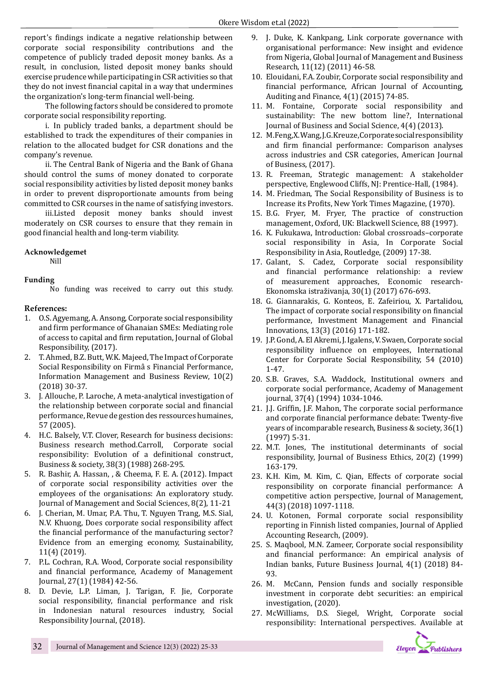report's findings indicate a negative relationship between corporate social responsibility contributions and the competence of publicly traded deposit money banks. As a result, in conclusion, listed deposit money banks should exercise prudence while participating in CSR activities so that they do not invest financial capital in a way that undermines the organization's long-term financial well-being.

The following factors should be considered to promote corporate social responsibility reporting.

i. In publicly traded banks, a department should be established to track the expenditures of their companies in relation to the allocated budget for CSR donations and the company's revenue.

ii. The Central Bank of Nigeria and the Bank of Ghana should control the sums of money donated to corporate social responsibility activities by listed deposit money banks in order to prevent disproportionate amounts from being committed to CSR courses in the name of satisfying investors.

iii.Listed deposit money banks should invest moderately on CSR courses to ensure that they remain in good financial health and long-term viability.

## **Acknowledgemet**

Nill

# **Funding**

No funding was received to carry out this study.

# **References:**

- 1. O.S. Agyemang, A. Ansong, Corporate social responsibility and firm performance of Ghanaian SMEs: Mediating role of access to capital and firm reputation, Journal of Global Responsibility, (2017).
- 2. T. Ahmed, B.Z. Butt, W.K. Majeed, The Impact of Corporate Social Responsibility on Firmâ s Financial Performance, Information Management and Business Review, 10(2) (2018) 30-37.
- 3. J. Allouche, P. Laroche, A meta-analytical investigation of the relationship between corporate social and financial performance, Revue de gestion des ressources humaines, 57 (2005).
- 4. H.C. Balsely, V.T. Clover, Research for business decisions: Business research method.Carroll, Corporate social responsibility: Evolution of a definitional construct, Business & society, 38(3) (1988) 268-295.
- 5. R. Bashir, A. Hassan, , & Cheema, F. E. A. (2012). Impact of corporate social responsibility activities over the employees of the organisations: An exploratory study. Journal of Management and Social Sciences, 8(2), 11-21
- 6. J. Cherian, M. Umar, P.A. Thu, T. Nguyen Trang, M.S. Sial, N.V. Khuong, Does corporate social responsibility affect the financial performance of the manufacturing sector? Evidence from an emerging economy, Sustainability, 11(4) (2019).
- 7. P.L. Cochran, R.A. Wood, Corporate social responsibility and financial performance, Academy of Management Journal, 27(1) (1984) 42-56.
- 8. D. Devie, L.P. Liman, J. Tarigan, F. Jie, Corporate social responsibility, financial performance and risk in Indonesian natural resources industry, Social Responsibility Journal, (2018).
- 9. J. Duke, K. Kankpang, Link corporate governance with organisational performance: New insight and evidence from Nigeria, Global Journal of Management and Business Research, 11(12) (2011) 46-58.
- 10. Elouidani, F.A. Zoubir, Corporate social responsibility and financial performance, African Journal of Accounting, Auditing and Finance, 4(1) (2015) 74-85.
- 11. M. Fontaine, Corporate social responsibility and sustainability: The new bottom line?, International Journal of Business and Social Science, 4(4) (2013).
- 12. M. Feng, X. Wang, J.G. Kreuze, Corporate social responsibility and firm financial performance: Comparison analyses across industries and CSR categories, American Journal of Business, (2017).
- 13. R. Freeman, Strategic management: A stakeholder perspective, Englewood Cliffs, NJ: Prentice-Hall, (1984).
- 14. M. Friedman, The Social Responsibility of Business is to Increase its Profits, New York Times Magazine, (1970).
- 15. B.G. Fryer, M. Fryer, The practice of construction management, Oxford, UK: Blackwell Science, 88 (1997).
- 16. K. Fukukawa, Introduction: Global crossroads–corporate social responsibility in Asia, In Corporate Social Responsibility in Asia, Routledge, (2009) 17-38.
- 17. Galant, S. Cadez, Corporate social responsibility and financial performance relationship: a review of measurement approaches, Economic research-Ekonomska istraživanja, 30(1) (2017) 676-693.
- 18. G. Giannarakis, G. Konteos, E. Zafeiriou, X. Partalidou, The impact of corporate social responsibility on financial performance, Investment Management and Financial Innovations, 13(3) (2016) 171-182.
- 19. J.P. Gond, A. El Akremi, J. Igalens, V. Swaen, Corporate social responsibility influence on employees, International Center for Corporate Social Responsibility, 54 (2010) 1-47.
- 20. S.B. Graves, S.A. Waddock, Institutional owners and corporate social performance, Academy of Management journal, 37(4) (1994) 1034-1046.
- 21. J.J. Griffin, J.F. Mahon, The corporate social performance and corporate financial performance debate: Twenty-five years of incomparable research, Business & society, 36(1) (1997) 5-31.
- 22. M.T. Jones, The institutional determinants of social responsibility, Journal of Business Ethics, 20(2) (1999) 163-179.
- 23. K.H. Kim, M. Kim, C. Qian, Effects of corporate social responsibility on corporate financial performance: A competitive action perspective, Journal of Management, 44(3) (2018) 1097-1118.
- 24. U. Kotonen, Formal corporate social responsibility reporting in Finnish listed companies, Journal of Applied Accounting Research, (2009).
- 25. S. Maqbool, M.N. Zameer, Corporate social responsibility and financial performance: An empirical analysis of Indian banks, Future Business Journal, 4(1) (2018) 84- 93.
- 26. M. McCann, Pension funds and socially responsible investment in corporate debt securities: an empirical investigation, (2020).
- 27. McWilliams, D.S. Siegel, Wright, Corporate social responsibility: International perspectives. Available at